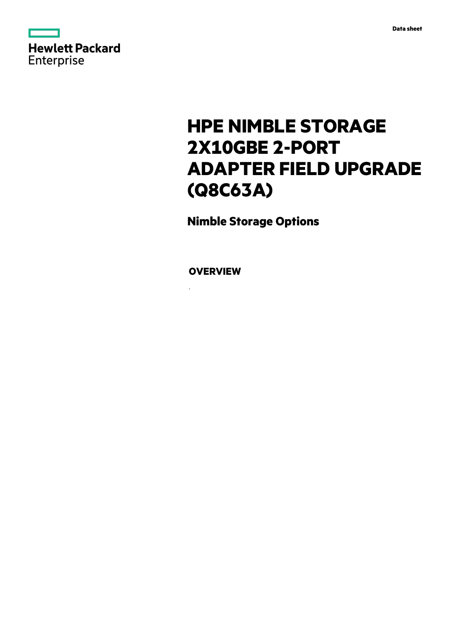

# **HPE NIMBLE STORAGE 2X10GBE 2-PORT ADAPTER FIELD UPGRADE (Q8C63A)**

**Nimble Storage Options**

**OVERVIEW**

.